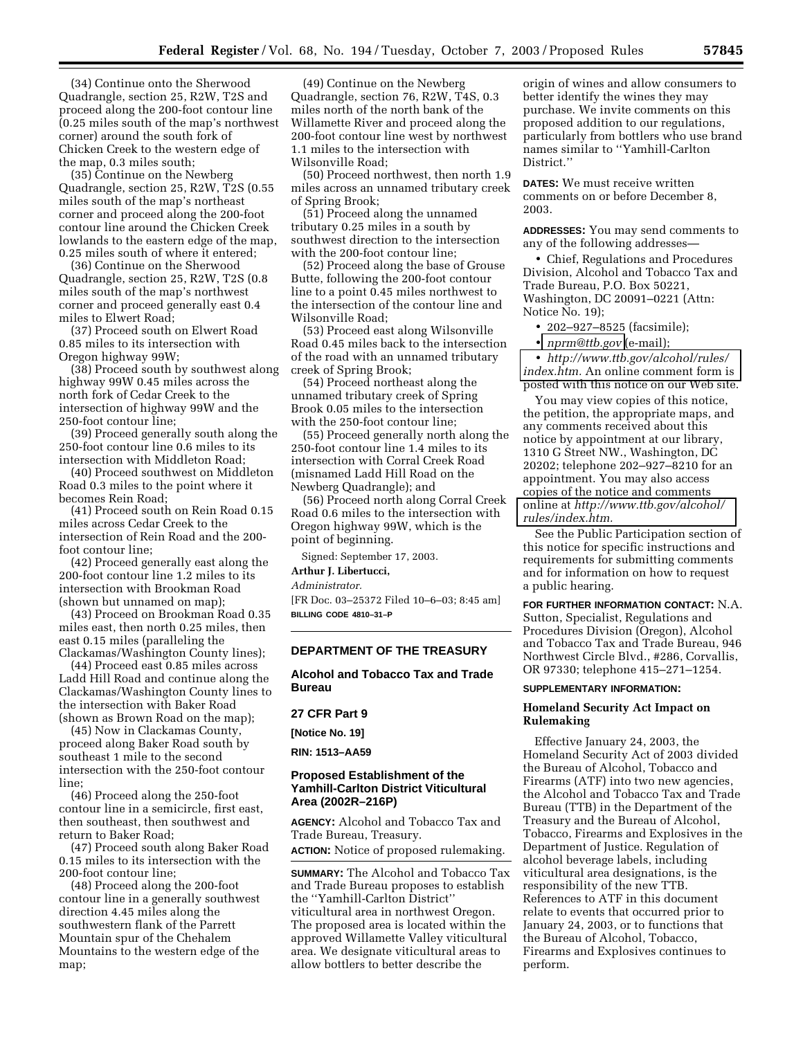(34) Continue onto the Sherwood Quadrangle, section 25, R2W, T2S and proceed along the 200-foot contour line (0.25 miles south of the map's northwest corner) around the south fork of Chicken Creek to the western edge of the map, 0.3 miles south;

(35) Continue on the Newberg Quadrangle, section 25, R2W, T2S (0.55 miles south of the map's northeast corner and proceed along the 200-foot contour line around the Chicken Creek lowlands to the eastern edge of the map, 0.25 miles south of where it entered;

(36) Continue on the Sherwood Quadrangle, section 25, R2W, T2S (0.8 miles south of the map's northwest corner and proceed generally east 0.4 miles to Elwert Road;

(37) Proceed south on Elwert Road 0.85 miles to its intersection with Oregon highway 99W;

(38) Proceed south by southwest along highway 99W 0.45 miles across the north fork of Cedar Creek to the intersection of highway 99W and the 250-foot contour line;

(39) Proceed generally south along the 250-foot contour line 0.6 miles to its intersection with Middleton Road;

(40) Proceed southwest on Middleton Road 0.3 miles to the point where it becomes Rein Road;

(41) Proceed south on Rein Road 0.15 miles across Cedar Creek to the intersection of Rein Road and the 200 foot contour line;

(42) Proceed generally east along the 200-foot contour line 1.2 miles to its intersection with Brookman Road (shown but unnamed on map);

(43) Proceed on Brookman Road 0.35 miles east, then north 0.25 miles, then east 0.15 miles (paralleling the Clackamas/Washington County lines);

(44) Proceed east 0.85 miles across Ladd Hill Road and continue along the Clackamas/Washington County lines to the intersection with Baker Road (shown as Brown Road on the map);

(45) Now in Clackamas County, proceed along Baker Road south by southeast 1 mile to the second intersection with the 250-foot contour line;

(46) Proceed along the 250-foot contour line in a semicircle, first east, then southeast, then southwest and return to Baker Road;

(47) Proceed south along Baker Road 0.15 miles to its intersection with the 200-foot contour line;

(48) Proceed along the 200-foot contour line in a generally southwest direction 4.45 miles along the southwestern flank of the Parrett Mountain spur of the Chehalem Mountains to the western edge of the map;

(49) Continue on the Newberg Quadrangle, section 76, R2W, T4S, 0.3 miles north of the north bank of the Willamette River and proceed along the 200-foot contour line west by northwest 1.1 miles to the intersection with Wilsonville Road;

(50) Proceed northwest, then north 1.9 miles across an unnamed tributary creek of Spring Brook;

(51) Proceed along the unnamed tributary 0.25 miles in a south by southwest direction to the intersection with the 200-foot contour line;

(52) Proceed along the base of Grouse Butte, following the 200-foot contour line to a point 0.45 miles northwest to the intersection of the contour line and Wilsonville Road;

(53) Proceed east along Wilsonville Road 0.45 miles back to the intersection of the road with an unnamed tributary creek of Spring Brook;

(54) Proceed northeast along the unnamed tributary creek of Spring Brook 0.05 miles to the intersection with the 250-foot contour line;

(55) Proceed generally north along the 250-foot contour line 1.4 miles to its intersection with Corral Creek Road (misnamed Ladd Hill Road on the Newberg Quadrangle); and

(56) Proceed north along Corral Creek Road 0.6 miles to the intersection with Oregon highway 99W, which is the point of beginning.

Signed: September 17, 2003.

## **Arthur J. Libertucci,**

*Administrator.*

[FR Doc. 03–25372 Filed 10–6–03; 8:45 am] **BILLING CODE 4810–31–P**

## **DEPARTMENT OF THE TREASURY**

**Alcohol and Tobacco Tax and Trade Bureau** 

# **27 CFR Part 9**

**[Notice No. 19] RIN: 1513–AA59**

# **Proposed Establishment of the Yamhill-Carlton District Viticultural Area (2002R–216P)**

**AGENCY:** Alcohol and Tobacco Tax and Trade Bureau, Treasury.

**ACTION:** Notice of proposed rulemaking.

**SUMMARY:** The Alcohol and Tobacco Tax and Trade Bureau proposes to establish the ''Yamhill-Carlton District'' viticultural area in northwest Oregon. The proposed area is located within the approved Willamette Valley viticultural area. We designate viticultural areas to allow bottlers to better describe the

origin of wines and allow consumers to better identify the wines they may purchase. We invite comments on this proposed addition to our regulations, particularly from bottlers who use brand names similar to ''Yamhill-Carlton District.''

**DATES:** We must receive written comments on or before December 8, 2003.

**ADDRESSES:** You may send comments to any of the following addresses—

• Chief, Regulations and Procedures Division, Alcohol and Tobacco Tax and Trade Bureau, P.O. Box 50221, Washington, DC 20091–0221 (Attn: Notice No. 19);

- 202–927–8525 (facsimile);
- *[nprm@ttb.gov](mailto:nprm@ttb.gov)* (e-mail);

• *[http://www.ttb.gov/alcohol/rules/](http://www.ttb.gov/alcohol/rules/index.htm) index.htm.* An online comment form is posted with this notice on our Web site.

You may view copies of this notice, the petition, the appropriate maps, and any comments received about this notice by appointment at our library, 1310 G Street NW., Washington, DC 20202; telephone 202–927–8210 for an appointment. You may also access copies of the notice and comments online at *[http://www.ttb.gov/alcohol/](http://www.ttb.gov/alcohol/rules/index.htm) rules/index.htm.*

See the Public Participation section of this notice for specific instructions and requirements for submitting comments and for information on how to request a public hearing.

**FOR FURTHER INFORMATION CONTACT:** N.A. Sutton, Specialist, Regulations and Procedures Division (Oregon), Alcohol and Tobacco Tax and Trade Bureau, 946 Northwest Circle Blvd., #286, Corvallis, OR 97330; telephone 415–271–1254.

#### **SUPPLEMENTARY INFORMATION:**

## **Homeland Security Act Impact on Rulemaking**

Effective January 24, 2003, the Homeland Security Act of 2003 divided the Bureau of Alcohol, Tobacco and Firearms (ATF) into two new agencies, the Alcohol and Tobacco Tax and Trade Bureau (TTB) in the Department of the Treasury and the Bureau of Alcohol, Tobacco, Firearms and Explosives in the Department of Justice. Regulation of alcohol beverage labels, including viticultural area designations, is the responsibility of the new TTB. References to ATF in this document relate to events that occurred prior to January 24, 2003, or to functions that the Bureau of Alcohol, Tobacco, Firearms and Explosives continues to perform.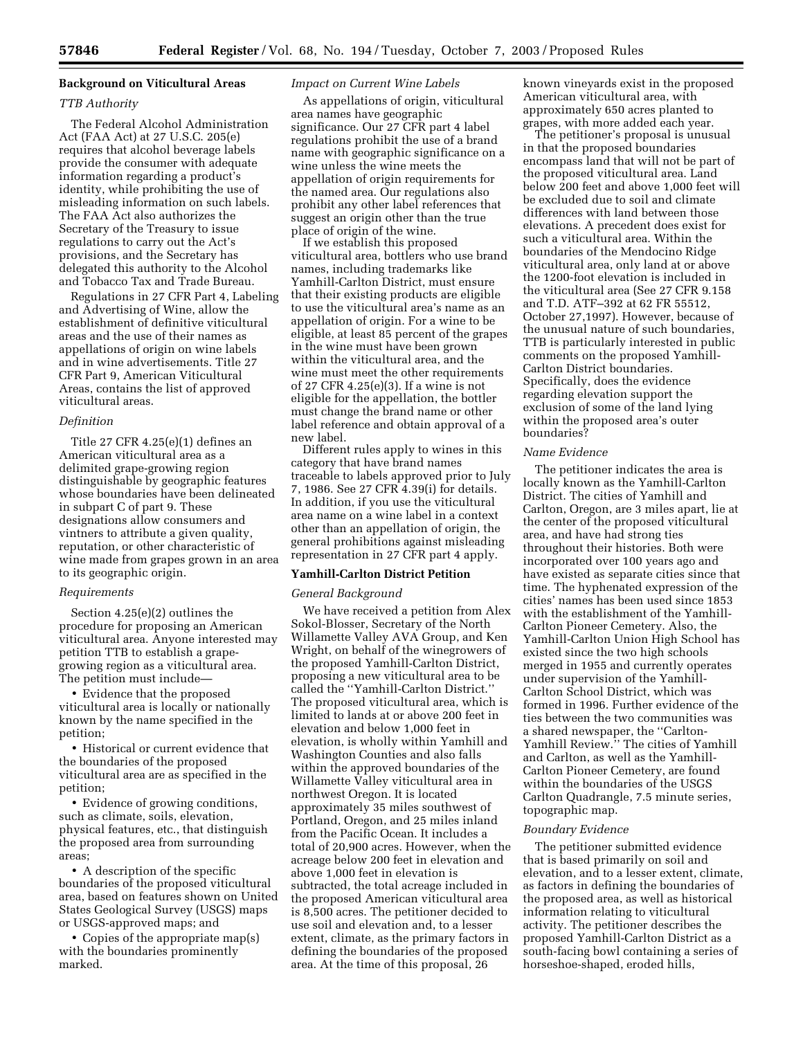## **Background on Viticultural Areas**

### *TTB Authority*

The Federal Alcohol Administration Act (FAA Act) at 27 U.S.C. 205(e) requires that alcohol beverage labels provide the consumer with adequate information regarding a product's identity, while prohibiting the use of misleading information on such labels. The FAA Act also authorizes the Secretary of the Treasury to issue regulations to carry out the Act's provisions, and the Secretary has delegated this authority to the Alcohol and Tobacco Tax and Trade Bureau.

Regulations in 27 CFR Part 4, Labeling and Advertising of Wine, allow the establishment of definitive viticultural areas and the use of their names as appellations of origin on wine labels and in wine advertisements. Title 27 CFR Part 9, American Viticultural Areas, contains the list of approved viticultural areas.

### *Definition*

Title 27 CFR 4.25(e)(1) defines an American viticultural area as a delimited grape-growing region distinguishable by geographic features whose boundaries have been delineated in subpart C of part 9. These designations allow consumers and vintners to attribute a given quality, reputation, or other characteristic of wine made from grapes grown in an area to its geographic origin.

#### *Requirements*

Section 4.25(e)(2) outlines the procedure for proposing an American viticultural area. Anyone interested may petition TTB to establish a grapegrowing region as a viticultural area. The petition must include—

• Evidence that the proposed viticultural area is locally or nationally known by the name specified in the petition;

• Historical or current evidence that the boundaries of the proposed viticultural area are as specified in the petition;

• Evidence of growing conditions, such as climate, soils, elevation, physical features, etc., that distinguish the proposed area from surrounding areas;

• A description of the specific boundaries of the proposed viticultural area, based on features shown on United States Geological Survey (USGS) maps or USGS-approved maps; and

• Copies of the appropriate map(s) with the boundaries prominently marked.

### *Impact on Current Wine Labels*

As appellations of origin, viticultural area names have geographic significance. Our 27 CFR part 4 label regulations prohibit the use of a brand name with geographic significance on a wine unless the wine meets the appellation of origin requirements for the named area. Our regulations also prohibit any other label references that suggest an origin other than the true place of origin of the wine.

If we establish this proposed viticultural area, bottlers who use brand names, including trademarks like Yamhill-Carlton District, must ensure that their existing products are eligible to use the viticultural area's name as an appellation of origin. For a wine to be eligible, at least 85 percent of the grapes in the wine must have been grown within the viticultural area, and the wine must meet the other requirements of 27 CFR 4.25(e)(3). If a wine is not eligible for the appellation, the bottler must change the brand name or other label reference and obtain approval of a new label.

Different rules apply to wines in this category that have brand names traceable to labels approved prior to July 7, 1986. See 27 CFR 4.39(i) for details. In addition, if you use the viticultural area name on a wine label in a context other than an appellation of origin, the general prohibitions against misleading representation in 27 CFR part 4 apply.

### **Yamhill-Carlton District Petition**

#### *General Background*

We have received a petition from Alex Sokol-Blosser, Secretary of the North Willamette Valley AVA Group, and Ken Wright, on behalf of the winegrowers of the proposed Yamhill-Carlton District, proposing a new viticultural area to be called the ''Yamhill-Carlton District.'' The proposed viticultural area, which is limited to lands at or above 200 feet in elevation and below 1,000 feet in elevation, is wholly within Yamhill and Washington Counties and also falls within the approved boundaries of the Willamette Valley viticultural area in northwest Oregon. It is located approximately 35 miles southwest of Portland, Oregon, and 25 miles inland from the Pacific Ocean. It includes a total of 20,900 acres. However, when the acreage below 200 feet in elevation and above 1,000 feet in elevation is subtracted, the total acreage included in the proposed American viticultural area is 8,500 acres. The petitioner decided to use soil and elevation and, to a lesser extent, climate, as the primary factors in defining the boundaries of the proposed area. At the time of this proposal, 26

known vineyards exist in the proposed American viticultural area, with approximately 650 acres planted to grapes, with more added each year.

The petitioner's proposal is unusual in that the proposed boundaries encompass land that will not be part of the proposed viticultural area. Land below 200 feet and above 1,000 feet will be excluded due to soil and climate differences with land between those elevations. A precedent does exist for such a viticultural area. Within the boundaries of the Mendocino Ridge viticultural area, only land at or above the 1200-foot elevation is included in the viticultural area (See 27 CFR 9.158 and T.D. ATF–392 at 62 FR 55512, October 27,1997). However, because of the unusual nature of such boundaries, TTB is particularly interested in public comments on the proposed Yamhill-Carlton District boundaries. Specifically, does the evidence regarding elevation support the exclusion of some of the land lying within the proposed area's outer boundaries?

## *Name Evidence*

The petitioner indicates the area is locally known as the Yamhill-Carlton District. The cities of Yamhill and Carlton, Oregon, are 3 miles apart, lie at the center of the proposed viticultural area, and have had strong ties throughout their histories. Both were incorporated over 100 years ago and have existed as separate cities since that time. The hyphenated expression of the cities' names has been used since 1853 with the establishment of the Yamhill-Carlton Pioneer Cemetery. Also, the Yamhill-Carlton Union High School has existed since the two high schools merged in 1955 and currently operates under supervision of the Yamhill-Carlton School District, which was formed in 1996. Further evidence of the ties between the two communities was a shared newspaper, the ''Carlton-Yamhill Review.'' The cities of Yamhill and Carlton, as well as the Yamhill-Carlton Pioneer Cemetery, are found within the boundaries of the USGS Carlton Quadrangle, 7.5 minute series, topographic map.

### *Boundary Evidence*

The petitioner submitted evidence that is based primarily on soil and elevation, and to a lesser extent, climate, as factors in defining the boundaries of the proposed area, as well as historical information relating to viticultural activity. The petitioner describes the proposed Yamhill-Carlton District as a south-facing bowl containing a series of horseshoe-shaped, eroded hills,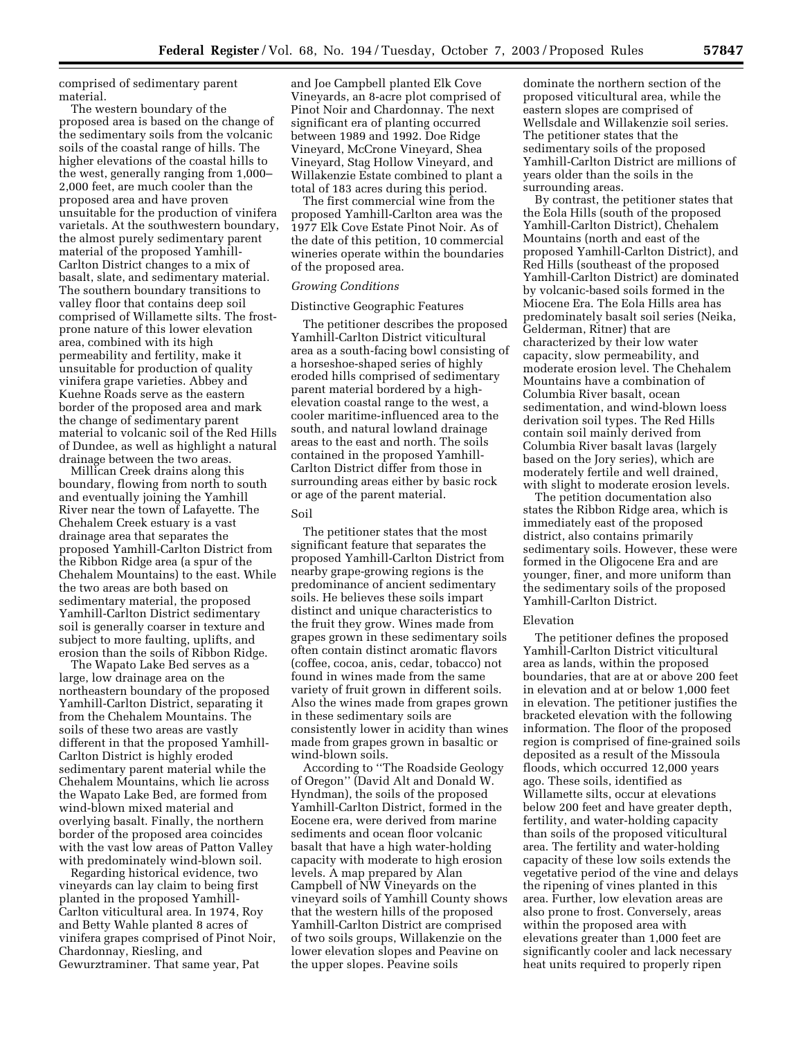comprised of sedimentary parent material.

The western boundary of the proposed area is based on the change of the sedimentary soils from the volcanic soils of the coastal range of hills. The higher elevations of the coastal hills to the west, generally ranging from 1,000– 2,000 feet, are much cooler than the proposed area and have proven unsuitable for the production of vinifera varietals. At the southwestern boundary, the almost purely sedimentary parent material of the proposed Yamhill-Carlton District changes to a mix of basalt, slate, and sedimentary material. The southern boundary transitions to valley floor that contains deep soil comprised of Willamette silts. The frostprone nature of this lower elevation area, combined with its high permeability and fertility, make it unsuitable for production of quality vinifera grape varieties. Abbey and Kuehne Roads serve as the eastern border of the proposed area and mark the change of sedimentary parent material to volcanic soil of the Red Hills of Dundee, as well as highlight a natural drainage between the two areas.

Millican Creek drains along this boundary, flowing from north to south and eventually joining the Yamhill River near the town of Lafayette. The Chehalem Creek estuary is a vast drainage area that separates the proposed Yamhill-Carlton District from the Ribbon Ridge area (a spur of the Chehalem Mountains) to the east. While the two areas are both based on sedimentary material, the proposed Yamhill-Carlton District sedimentary soil is generally coarser in texture and subject to more faulting, uplifts, and erosion than the soils of Ribbon Ridge.

The Wapato Lake Bed serves as a large, low drainage area on the northeastern boundary of the proposed Yamhill-Carlton District, separating it from the Chehalem Mountains. The soils of these two areas are vastly different in that the proposed Yamhill-Carlton District is highly eroded sedimentary parent material while the Chehalem Mountains, which lie across the Wapato Lake Bed, are formed from wind-blown mixed material and overlying basalt. Finally, the northern border of the proposed area coincides with the vast low areas of Patton Valley with predominately wind-blown soil.

Regarding historical evidence, two vineyards can lay claim to being first planted in the proposed Yamhill-Carlton viticultural area. In 1974, Roy and Betty Wahle planted 8 acres of vinifera grapes comprised of Pinot Noir, Chardonnay, Riesling, and Gewurztraminer. That same year, Pat

and Joe Campbell planted Elk Cove Vineyards, an 8-acre plot comprised of Pinot Noir and Chardonnay. The next significant era of planting occurred between 1989 and 1992. Doe Ridge Vineyard, McCrone Vineyard, Shea Vineyard, Stag Hollow Vineyard, and Willakenzie Estate combined to plant a total of 183 acres during this period.

The first commercial wine from the proposed Yamhill-Carlton area was the 1977 Elk Cove Estate Pinot Noir. As of the date of this petition, 10 commercial wineries operate within the boundaries of the proposed area.

## *Growing Conditions*

#### Distinctive Geographic Features

The petitioner describes the proposed Yamhill-Carlton District viticultural area as a south-facing bowl consisting of a horseshoe-shaped series of highly eroded hills comprised of sedimentary parent material bordered by a highelevation coastal range to the west, a cooler maritime-influenced area to the south, and natural lowland drainage areas to the east and north. The soils contained in the proposed Yamhill-Carlton District differ from those in surrounding areas either by basic rock or age of the parent material.

### Soil

The petitioner states that the most significant feature that separates the proposed Yamhill-Carlton District from nearby grape-growing regions is the predominance of ancient sedimentary soils. He believes these soils impart distinct and unique characteristics to the fruit they grow. Wines made from grapes grown in these sedimentary soils often contain distinct aromatic flavors (coffee, cocoa, anis, cedar, tobacco) not found in wines made from the same variety of fruit grown in different soils. Also the wines made from grapes grown in these sedimentary soils are consistently lower in acidity than wines made from grapes grown in basaltic or wind-blown soils.

According to ''The Roadside Geology of Oregon'' (David Alt and Donald W. Hyndman), the soils of the proposed Yamhill-Carlton District, formed in the Eocene era, were derived from marine sediments and ocean floor volcanic basalt that have a high water-holding capacity with moderate to high erosion levels. A map prepared by Alan Campbell of NW Vineyards on the vineyard soils of Yamhill County shows that the western hills of the proposed Yamhill-Carlton District are comprised of two soils groups, Willakenzie on the lower elevation slopes and Peavine on the upper slopes. Peavine soils

dominate the northern section of the proposed viticultural area, while the eastern slopes are comprised of Wellsdale and Willakenzie soil series. The petitioner states that the sedimentary soils of the proposed Yamhill-Carlton District are millions of years older than the soils in the surrounding areas.

By contrast, the petitioner states that the Eola Hills (south of the proposed Yamhill-Carlton District), Chehalem Mountains (north and east of the proposed Yamhill-Carlton District), and Red Hills (southeast of the proposed Yamhill-Carlton District) are dominated by volcanic-based soils formed in the Miocene Era. The Eola Hills area has predominately basalt soil series (Neika, Gelderman, Ritner) that are characterized by their low water capacity, slow permeability, and moderate erosion level. The Chehalem Mountains have a combination of Columbia River basalt, ocean sedimentation, and wind-blown loess derivation soil types. The Red Hills contain soil mainly derived from Columbia River basalt lavas (largely based on the Jory series), which are moderately fertile and well drained, with slight to moderate erosion levels.

The petition documentation also states the Ribbon Ridge area, which is immediately east of the proposed district, also contains primarily sedimentary soils. However, these were formed in the Oligocene Era and are younger, finer, and more uniform than the sedimentary soils of the proposed Yamhill-Carlton District.

## Elevation

The petitioner defines the proposed Yamhill-Carlton District viticultural area as lands, within the proposed boundaries, that are at or above 200 feet in elevation and at or below 1,000 feet in elevation. The petitioner justifies the bracketed elevation with the following information. The floor of the proposed region is comprised of fine-grained soils deposited as a result of the Missoula floods, which occurred 12,000 years ago. These soils, identified as Willamette silts, occur at elevations below 200 feet and have greater depth, fertility, and water-holding capacity than soils of the proposed viticultural area. The fertility and water-holding capacity of these low soils extends the vegetative period of the vine and delays the ripening of vines planted in this area. Further, low elevation areas are also prone to frost. Conversely, areas within the proposed area with elevations greater than 1,000 feet are significantly cooler and lack necessary heat units required to properly ripen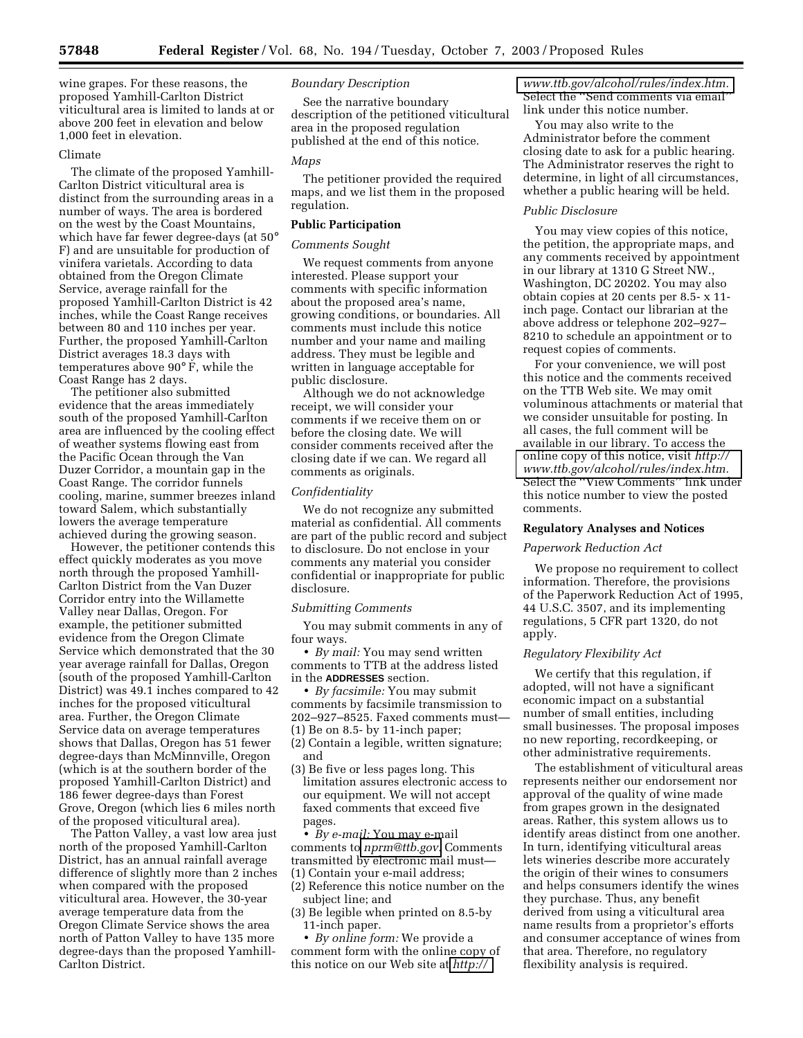wine grapes. For these reasons, the proposed Yamhill-Carlton District viticultural area is limited to lands at or above 200 feet in elevation and below 1,000 feet in elevation.

### Climate

The climate of the proposed Yamhill-Carlton District viticultural area is distinct from the surrounding areas in a number of ways. The area is bordered on the west by the Coast Mountains, which have far fewer degree-days (at 50° F) and are unsuitable for production of vinifera varietals. According to data obtained from the Oregon Climate Service, average rainfall for the proposed Yamhill-Carlton District is 42 inches, while the Coast Range receives between 80 and 110 inches per year. Further, the proposed Yamhill-Carlton District averages 18.3 days with temperatures above 90° F, while the Coast Range has 2 days.

The petitioner also submitted evidence that the areas immediately south of the proposed Yamhill-Carlton area are influenced by the cooling effect of weather systems flowing east from the Pacific Ocean through the Van Duzer Corridor, a mountain gap in the Coast Range. The corridor funnels cooling, marine, summer breezes inland toward Salem, which substantially lowers the average temperature achieved during the growing season.

However, the petitioner contends this effect quickly moderates as you move north through the proposed Yamhill-Carlton District from the Van Duzer Corridor entry into the Willamette Valley near Dallas, Oregon. For example, the petitioner submitted evidence from the Oregon Climate Service which demonstrated that the 30 year average rainfall for Dallas, Oregon (south of the proposed Yamhill-Carlton District) was 49.1 inches compared to 42 inches for the proposed viticultural area. Further, the Oregon Climate Service data on average temperatures shows that Dallas, Oregon has 51 fewer degree-days than McMinnville, Oregon (which is at the southern border of the proposed Yamhill-Carlton District) and 186 fewer degree-days than Forest Grove, Oregon (which lies 6 miles north of the proposed viticultural area).

The Patton Valley, a vast low area just north of the proposed Yamhill-Carlton District, has an annual rainfall average difference of slightly more than 2 inches when compared with the proposed viticultural area. However, the 30-year average temperature data from the Oregon Climate Service shows the area north of Patton Valley to have 135 more degree-days than the proposed Yamhill-Carlton District.

# *Boundary Description*

See the narrative boundary description of the petitioned viticultural area in the proposed regulation published at the end of this notice.

### *Maps*

The petitioner provided the required maps, and we list them in the proposed regulation.

## **Public Participation**

## *Comments Sought*

We request comments from anyone interested. Please support your comments with specific information about the proposed area's name, growing conditions, or boundaries. All comments must include this notice number and your name and mailing address. They must be legible and written in language acceptable for public disclosure.

Although we do not acknowledge receipt, we will consider your comments if we receive them on or before the closing date. We will consider comments received after the closing date if we can. We regard all comments as originals.

## *Confidentiality*

We do not recognize any submitted material as confidential. All comments are part of the public record and subject to disclosure. Do not enclose in your comments any material you consider confidential or inappropriate for public disclosure.

#### *Submitting Comments*

You may submit comments in any of four ways.

• *By mail:* You may send written comments to TTB at the address listed in the **ADDRESSES** section.

• *By facsimile:* You may submit comments by facsimile transmission to 202–927–8525. Faxed comments must— (1) Be on 8.5- by 11-inch paper; (2) Contain a legible, written signature;

- and
- (3) Be five or less pages long. This limitation assures electronic access to our equipment. We will not accept faxed comments that exceed five pages.

• *By e-mail:* You may e-mail comments to *[nprm@ttb.gov.](mailto:nprm@ttb.gov)* Comments transmitted by electronic mail must—

- (1) Contain your e-mail address;
- (2) Reference this notice number on the subject line; and
- (3) Be legible when printed on 8.5-by 11-inch paper.

• *By online form:* We provide a comment form with the online copy of this notice on our Web site at *[http://](http://www.ttb.gov/alcohol/rules/index.htm)*

*[www.ttb.gov/alcohol/rules/index.htm.](http://www.ttb.gov/alcohol/rules/index.htm)* Select the ''Send comments via email'' link under this notice number.

You may also write to the Administrator before the comment closing date to ask for a public hearing. The Administrator reserves the right to determine, in light of all circumstances, whether a public hearing will be held.

### *Public Disclosure*

You may view copies of this notice, the petition, the appropriate maps, and any comments received by appointment in our library at 1310 G Street NW., Washington, DC 20202. You may also obtain copies at 20 cents per 8.5- x 11 inch page. Contact our librarian at the above address or telephone 202–927– 8210 to schedule an appointment or to request copies of comments.

For your convenience, we will post this notice and the comments received on the TTB Web site. We may omit voluminous attachments or material that we consider unsuitable for posting. In all cases, the full comment will be available in our library. To access the online copy of this notice, visit *http:// [www.ttb.gov/alcohol/rules/index.htm.](http://www.ttb.gov/alcohol/rules/index.htm)* Select the ''View Comments'' link under this notice number to view the posted comments.

#### **Regulatory Analyses and Notices**

### *Paperwork Reduction Act*

We propose no requirement to collect information. Therefore, the provisions of the Paperwork Reduction Act of 1995, 44 U.S.C. 3507, and its implementing regulations, 5 CFR part 1320, do not apply.

### *Regulatory Flexibility Act*

We certify that this regulation, if adopted, will not have a significant economic impact on a substantial number of small entities, including small businesses. The proposal imposes no new reporting, recordkeeping, or other administrative requirements.

The establishment of viticultural areas represents neither our endorsement nor approval of the quality of wine made from grapes grown in the designated areas. Rather, this system allows us to identify areas distinct from one another. In turn, identifying viticultural areas lets wineries describe more accurately the origin of their wines to consumers and helps consumers identify the wines they purchase. Thus, any benefit derived from using a viticultural area name results from a proprietor's efforts and consumer acceptance of wines from that area. Therefore, no regulatory flexibility analysis is required.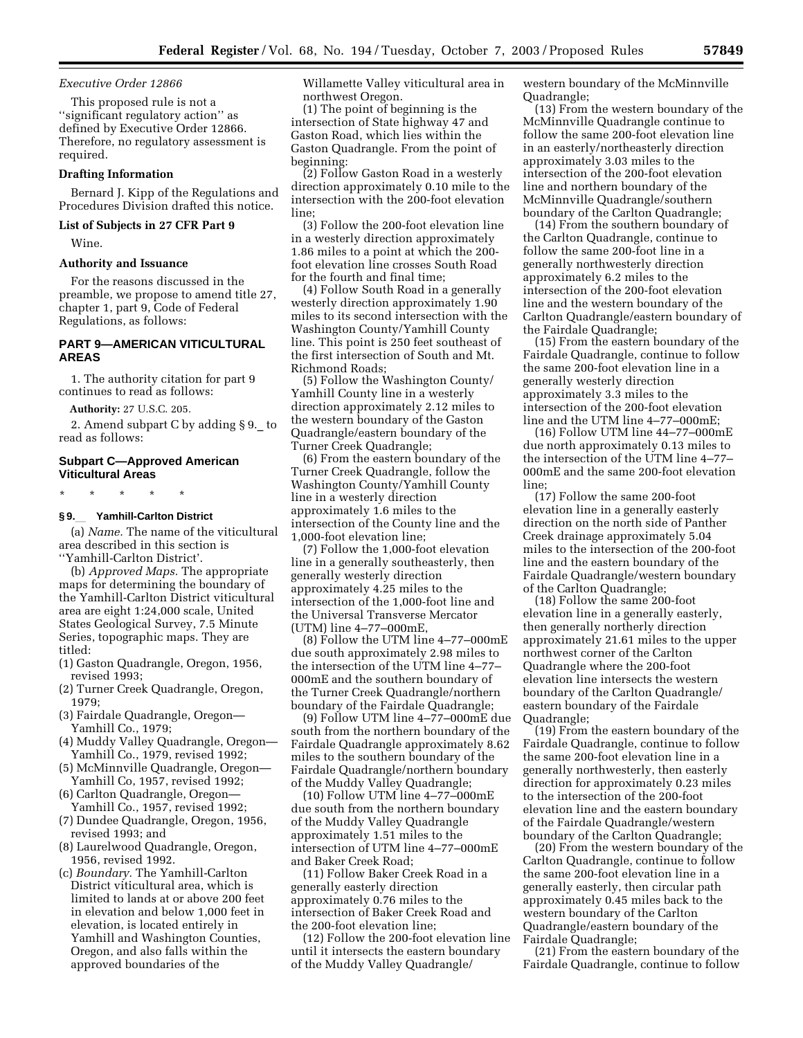### *Executive Order 12866*

This proposed rule is not a ''significant regulatory action'' as defined by Executive Order 12866. Therefore, no regulatory assessment is required.

### **Drafting Information**

Bernard J. Kipp of the Regulations and Procedures Division drafted this notice.

### **List of Subjects in 27 CFR Part 9**

Wine.

### **Authority and Issuance**

For the reasons discussed in the preamble, we propose to amend title 27, chapter 1, part 9, Code of Federal Regulations, as follows:

## **PART 9—AMERICAN VITICULTURAL AREAS**

1. The authority citation for part 9 continues to read as follows:

**Authority:** 27 U.S.C. 205.

2. Amend subpart C by adding § 9.\_ to read as follows:

## **Subpart C—Approved American Viticultural Areas**

\* \* \* \* \*

## **§ 9.**l **Yamhill-Carlton District**

(a) *Name.* The name of the viticultural area described in this section is ''Yamhill-Carlton District'.

(b) *Approved Maps.* The appropriate maps for determining the boundary of the Yamhill-Carlton District viticultural area are eight 1:24,000 scale, United States Geological Survey, 7.5 Minute Series, topographic maps. They are titled:

- (1) Gaston Quadrangle, Oregon, 1956, revised 1993;
- (2) Turner Creek Quadrangle, Oregon, 1979;
- (3) Fairdale Quadrangle, Oregon— Yamhill Co., 1979;
- (4) Muddy Valley Quadrangle, Oregon— Yamhill Co., 1979, revised 1992;
- (5) McMinnville Quadrangle, Oregon— Yamhill Co, 1957, revised 1992;
- (6) Carlton Quadrangle, Oregon— Yamhill Co., 1957, revised 1992;
- (7) Dundee Quadrangle, Oregon, 1956, revised 1993; and
- (8) Laurelwood Quadrangle, Oregon, 1956, revised 1992.
- (c) *Boundary.* The Yamhill-Carlton District viticultural area, which is limited to lands at or above 200 feet in elevation and below 1,000 feet in elevation, is located entirely in Yamhill and Washington Counties, Oregon, and also falls within the approved boundaries of the

Willamette Valley viticultural area in northwest Oregon.

(1) The point of beginning is the intersection of State highway 47 and Gaston Road, which lies within the Gaston Quadrangle. From the point of beginning:

(2) Follow Gaston Road in a westerly direction approximately 0.10 mile to the intersection with the 200-foot elevation line;

(3) Follow the 200-foot elevation line in a westerly direction approximately 1.86 miles to a point at which the 200 foot elevation line crosses South Road for the fourth and final time;

(4) Follow South Road in a generally westerly direction approximately 1.90 miles to its second intersection with the Washington County/Yamhill County line. This point is 250 feet southeast of the first intersection of South and Mt. Richmond Roads;

(5) Follow the Washington County/ Yamhill County line in a westerly direction approximately 2.12 miles to the western boundary of the Gaston Quadrangle/eastern boundary of the Turner Creek Quadrangle;

(6) From the eastern boundary of the Turner Creek Quadrangle, follow the Washington County/Yamhill County line in a westerly direction approximately 1.6 miles to the intersection of the County line and the 1,000-foot elevation line;

(7) Follow the 1,000-foot elevation line in a generally southeasterly, then generally westerly direction approximately 4.25 miles to the intersection of the 1,000-foot line and the Universal Transverse Mercator (UTM) line 4–77–000mE,

(8) Follow the UTM line 4–77–000mE due south approximately 2.98 miles to the intersection of the UTM line 4–77– 000mE and the southern boundary of the Turner Creek Quadrangle/northern boundary of the Fairdale Quadrangle;

(9) Follow UTM line 4–77–000mE due south from the northern boundary of the Fairdale Quadrangle approximately 8.62 miles to the southern boundary of the Fairdale Quadrangle/northern boundary of the Muddy Valley Quadrangle;

(10) Follow UTM line 4–77–000mE due south from the northern boundary of the Muddy Valley Quadrangle approximately 1.51 miles to the intersection of UTM line 4–77–000mE and Baker Creek Road;

(11) Follow Baker Creek Road in a generally easterly direction approximately 0.76 miles to the intersection of Baker Creek Road and the 200-foot elevation line;

(12) Follow the 200-foot elevation line until it intersects the eastern boundary of the Muddy Valley Quadrangle/

western boundary of the McMinnville Quadrangle;

(13) From the western boundary of the McMinnville Quadrangle continue to follow the same 200-foot elevation line in an easterly/northeasterly direction approximately 3.03 miles to the intersection of the 200-foot elevation line and northern boundary of the McMinnville Quadrangle/southern boundary of the Carlton Quadrangle;

(14) From the southern boundary of the Carlton Quadrangle, continue to follow the same 200-foot line in a generally northwesterly direction approximately 6.2 miles to the intersection of the 200-foot elevation line and the western boundary of the Carlton Quadrangle/eastern boundary of the Fairdale Quadrangle;

(15) From the eastern boundary of the Fairdale Quadrangle, continue to follow the same 200-foot elevation line in a generally westerly direction approximately 3.3 miles to the intersection of the 200-foot elevation line and the UTM line 4–77–000mE;

(16) Follow UTM line 44–77–000mE due north approximately 0.13 miles to the intersection of the UTM line 4–77– 000mE and the same 200-foot elevation line;

(17) Follow the same 200-foot elevation line in a generally easterly direction on the north side of Panther Creek drainage approximately 5.04 miles to the intersection of the 200-foot line and the eastern boundary of the Fairdale Quadrangle/western boundary of the Carlton Quadrangle;

(18) Follow the same 200-foot elevation line in a generally easterly, then generally northerly direction approximately 21.61 miles to the upper northwest corner of the Carlton Quadrangle where the 200-foot elevation line intersects the western boundary of the Carlton Quadrangle/ eastern boundary of the Fairdale Quadrangle;

(19) From the eastern boundary of the Fairdale Quadrangle, continue to follow the same 200-foot elevation line in a generally northwesterly, then easterly direction for approximately 0.23 miles to the intersection of the 200-foot elevation line and the eastern boundary of the Fairdale Quadrangle/western boundary of the Carlton Quadrangle;

(20) From the western boundary of the Carlton Quadrangle, continue to follow the same 200-foot elevation line in a generally easterly, then circular path approximately 0.45 miles back to the western boundary of the Carlton Quadrangle/eastern boundary of the Fairdale Quadrangle;

(21) From the eastern boundary of the Fairdale Quadrangle, continue to follow